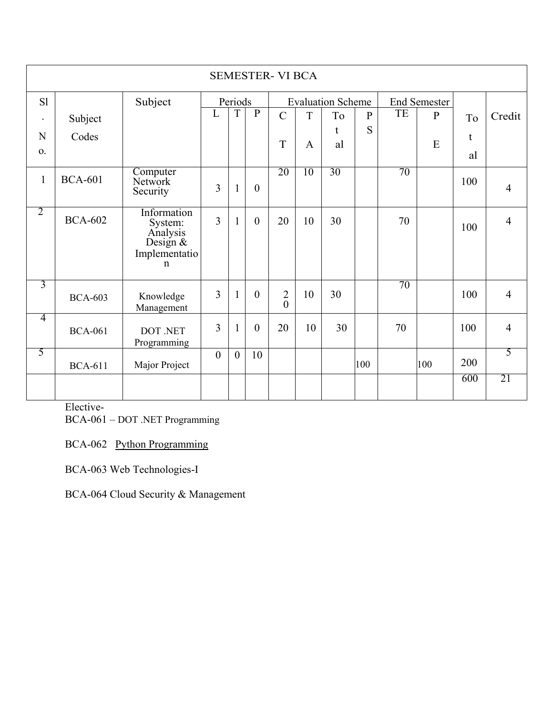|                | <b>SEMESTER- VI BCA</b> |                                                                                  |                |                |                  |                                  |              |                          |              |    |              |     |                |
|----------------|-------------------------|----------------------------------------------------------------------------------|----------------|----------------|------------------|----------------------------------|--------------|--------------------------|--------------|----|--------------|-----|----------------|
| S1             |                         | Subject                                                                          |                | Periods        |                  |                                  |              | <b>Evaluation Scheme</b> |              |    | End Semester |     |                |
| $\bullet$      | Subject                 |                                                                                  | L              | T              | $\mathbf{P}$     | $\mathbf C$                      | T            | To                       | $\mathbf{P}$ | TE | $\mathbf{P}$ | To  | Credit         |
| N              | Codes                   |                                                                                  |                |                |                  |                                  |              | t                        | S            |    |              | t   |                |
| O <sub>1</sub> |                         |                                                                                  |                |                |                  | T                                | $\mathbf{A}$ | al                       |              |    | E            | al  |                |
| $\mathbf{1}$   | <b>BCA-601</b>          | Computer<br>Network<br>Security                                                  | 3              | $\mathbf{1}$   | $\overline{0}$   | 20                               | 10           | 30                       |              | 70 |              | 100 | $\overline{4}$ |
| $\overline{2}$ | <b>BCA-602</b>          | Information<br>System:<br>Analysis<br>Design $&$<br>Implementatio<br>$\mathbf n$ | $\overline{3}$ | $\mathbf{1}$   | $\mathbf{0}$     | 20                               | 10           | 30                       |              | 70 |              | 100 | $\overline{4}$ |
| 3              | <b>BCA-603</b>          | Knowledge<br>Management                                                          | 3              | $\mathbf{1}$   | $\boldsymbol{0}$ | $\overline{2}$<br>$\overline{0}$ | 10           | 30                       |              | 70 |              | 100 | $\overline{4}$ |
| 4              | <b>BCA-061</b>          | DOT .NET<br>Programming                                                          | 3              | 1              | $\overline{0}$   | 20                               | 10           | 30                       |              | 70 |              | 100 | $\overline{4}$ |
| 5              | <b>BCA-611</b>          | Major Project                                                                    | $\overline{0}$ | $\overline{0}$ | 10               |                                  |              |                          | 100          |    | 100          | 200 | 5              |
|                |                         |                                                                                  |                |                |                  |                                  |              |                          |              |    |              | 600 | 21             |

Elective-

BCA-061 – DOT .NET Programming

BCA-062 Python Programming

BCA-063 Web Technologies-I

BCA-064 Cloud Security & Management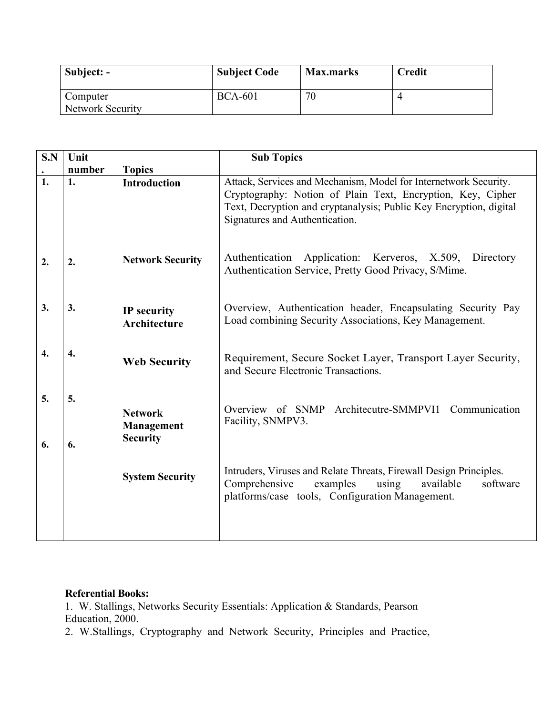| Subject: -                   | <b>Subject Code</b> | <b>Max.marks</b> | <b>Credit</b> |
|------------------------------|---------------------|------------------|---------------|
| Computer<br>Network Security | <b>BCA-601</b>      | 70               |               |

| Attack, Services and Mechanism, Model for Internetwork Security.                                                                  |
|-----------------------------------------------------------------------------------------------------------------------------------|
|                                                                                                                                   |
| Cryptography: Notion of Plain Text, Encryption, Key, Cipher<br>Text, Decryption and cryptanalysis; Public Key Encryption, digital |
| Authentication Application: Kerveros, X.509, Directory<br>Authentication Service, Pretty Good Privacy, S/Mime.                    |
| Overview, Authentication header, Encapsulating Security Pay<br>Load combining Security Associations, Key Management.              |
| Requirement, Secure Socket Layer, Transport Layer Security,                                                                       |
| Architecutre-SMMPVI1 Communication                                                                                                |
| Intruders, Viruses and Relate Threats, Firewall Design Principles.<br>software                                                    |
|                                                                                                                                   |

## **Referential Books:**

1. W. Stallings, Networks Security Essentials: Application & Standards, Pearson Education, 2000.

2. W.Stallings, Cryptography and Network Security, Principles and Practice,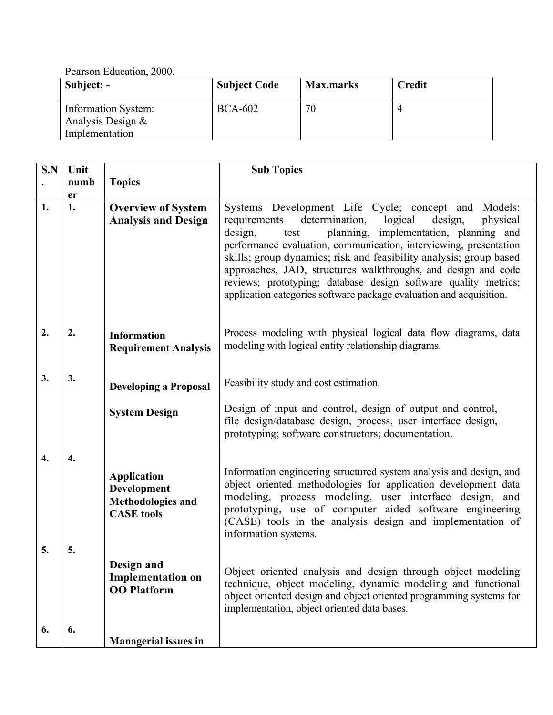Pearson Education, 2000.

| Subject: -                               | <b>Subject Code</b> | <b>Max.marks</b> | <b>Credit</b> |
|------------------------------------------|---------------------|------------------|---------------|
| Information System:<br>Analysis Design & | <b>BCA-602</b>      | 70               |               |
| Implementation                           |                     |                  |               |

| S.N              | Unit     |                                                                             | <b>Sub Topics</b>                                                                                                                                                                                                                                                                                                                                                                                                                                                                                                                          |
|------------------|----------|-----------------------------------------------------------------------------|--------------------------------------------------------------------------------------------------------------------------------------------------------------------------------------------------------------------------------------------------------------------------------------------------------------------------------------------------------------------------------------------------------------------------------------------------------------------------------------------------------------------------------------------|
|                  | numb     | <b>Topics</b>                                                               |                                                                                                                                                                                                                                                                                                                                                                                                                                                                                                                                            |
| 1.               | er<br>1. | <b>Overview of System</b><br><b>Analysis and Design</b>                     | Systems Development Life Cycle; concept and Models:<br>determination,<br>logical<br>design,<br>physical<br>requirements<br>planning, implementation, planning and<br>design,<br>test<br>performance evaluation, communication, interviewing, presentation<br>skills; group dynamics; risk and feasibility analysis; group based<br>approaches, JAD, structures walkthroughs, and design and code<br>reviews; prototyping; database design software quality metrics;<br>application categories software package evaluation and acquisition. |
| 2.               | 2.       | <b>Information</b><br><b>Requirement Analysis</b>                           | Process modeling with physical logical data flow diagrams, data<br>modeling with logical entity relationship diagrams.                                                                                                                                                                                                                                                                                                                                                                                                                     |
| 3.               | 3.       | <b>Developing a Proposal</b>                                                | Feasibility study and cost estimation.                                                                                                                                                                                                                                                                                                                                                                                                                                                                                                     |
|                  |          | <b>System Design</b>                                                        | Design of input and control, design of output and control,<br>file design/database design, process, user interface design,<br>prototyping; software constructors; documentation.                                                                                                                                                                                                                                                                                                                                                           |
| $\overline{4}$ . | 4.       | <b>Application</b><br>Development<br>Methodologies and<br><b>CASE</b> tools | Information engineering structured system analysis and design, and<br>object oriented methodologies for application development data<br>modeling, process modeling, user interface design, and<br>prototyping, use of computer aided software engineering<br>(CASE) tools in the analysis design and implementation of<br>information systems.                                                                                                                                                                                             |
| 5.               | 5.       | Design and<br><b>Implementation on</b><br><b>OO</b> Platform                | Object oriented analysis and design through object modeling<br>technique, object modeling, dynamic modeling and functional<br>object oriented design and object oriented programming systems for<br>implementation, object oriented data bases.                                                                                                                                                                                                                                                                                            |
| 6.               | 6.       | <b>Managerial issues in</b>                                                 |                                                                                                                                                                                                                                                                                                                                                                                                                                                                                                                                            |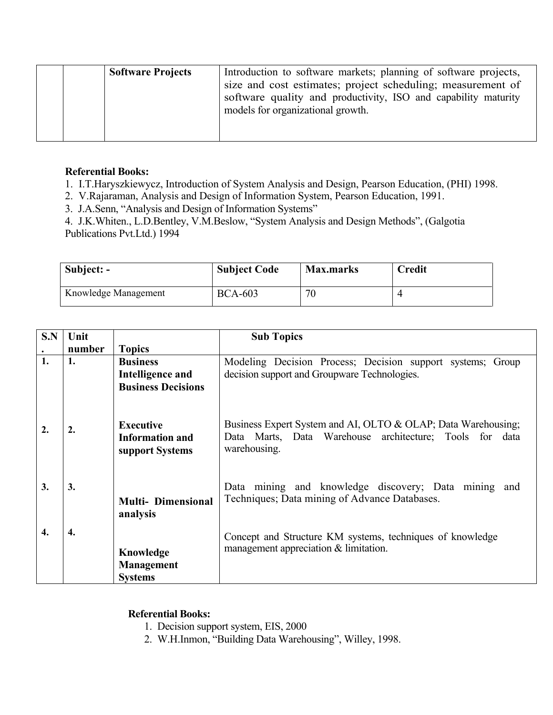| <b>Software Projects</b> | Introduction to software markets; planning of software projects, |
|--------------------------|------------------------------------------------------------------|
|                          | size and cost estimates; project scheduling; measurement of      |
|                          | software quality and productivity, ISO and capability maturity   |
|                          | models for organizational growth.                                |
|                          |                                                                  |
|                          |                                                                  |

## **Referential Books:**

1. I.T.Haryszkiewycz, Introduction of System Analysis and Design, Pearson Education, (PHI) 1998.

2. V.Rajaraman, Analysis and Design of Information System, Pearson Education, 1991.

3. J.A.Senn, "Analysis and Design of Information Systems"

4. J.K.Whiten., L.D.Bentley, V.M.Beslow, "System Analysis and Design Methods", (Galgotia Publications Pvt.Ltd.) 1994

| Subject: -           | <b>Subject Code</b> | <b>Max.marks</b> | <b>Credit</b> |
|----------------------|---------------------|------------------|---------------|
| Knowledge Management | <b>BCA-603</b>      | 70               |               |

| S.N          | Unit   |                                                               | <b>Sub Topics</b>                                                                                                                        |
|--------------|--------|---------------------------------------------------------------|------------------------------------------------------------------------------------------------------------------------------------------|
|              | number | <b>Topics</b>                                                 |                                                                                                                                          |
| 1.           | 1.     | <b>Business</b>                                               | Modeling Decision Process; Decision support systems; Group                                                                               |
|              |        | Intelligence and                                              | decision support and Groupware Technologies.                                                                                             |
|              |        | <b>Business Decisions</b>                                     |                                                                                                                                          |
| 2.           | 2.     | <b>Executive</b><br><b>Information and</b><br>support Systems | Business Expert System and AI, OLTO & OLAP; Data Warehousing;<br>Data Marts, Data Warehouse architecture; Tools for data<br>warehousing. |
| 3.           | 3.     | <b>Multi- Dimensional</b><br>analysis                         | Data mining and knowledge discovery; Data mining and<br>Techniques; Data mining of Advance Databases.                                    |
| $\mathbf{4}$ | 4.     | Knowledge<br><b>Management</b><br><b>Systems</b>              | Concept and Structure KM systems, techniques of knowledge<br>management appreciation & limitation.                                       |

## **Referential Books:**

- 1. Decision support system, EIS, 2000
- 2. W.H.Inmon, "Building Data Warehousing", Willey, 1998.